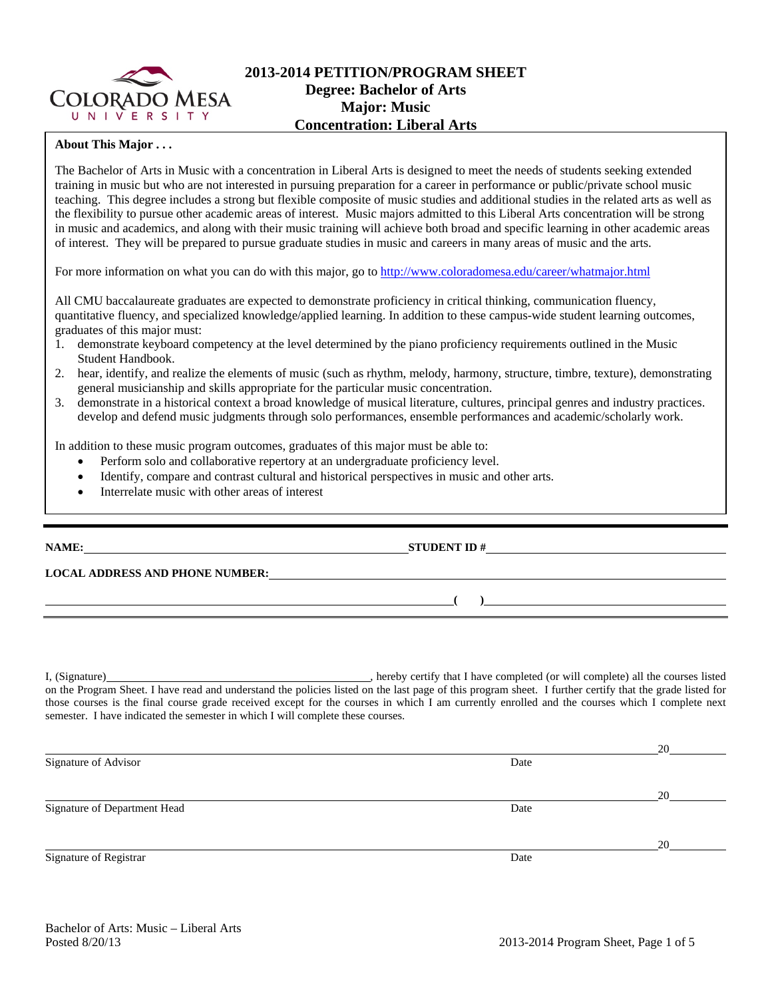

## **2013-2014 PETITION/PROGRAM SHEET Degree: Bachelor of Arts Major: Music Concentration: Liberal Arts**

## **About This Major . . .**

The Bachelor of Arts in Music with a concentration in Liberal Arts is designed to meet the needs of students seeking extended training in music but who are not interested in pursuing preparation for a career in performance or public/private school music teaching. This degree includes a strong but flexible composite of music studies and additional studies in the related arts as well as the flexibility to pursue other academic areas of interest. Music majors admitted to this Liberal Arts concentration will be strong in music and academics, and along with their music training will achieve both broad and specific learning in other academic areas of interest. They will be prepared to pursue graduate studies in music and careers in many areas of music and the arts.

For more information on what you can do with this major, go to http://www.coloradomesa.edu/career/whatmajor.html

All CMU baccalaureate graduates are expected to demonstrate proficiency in critical thinking, communication fluency, quantitative fluency, and specialized knowledge/applied learning. In addition to these campus-wide student learning outcomes, graduates of this major must:

- 1. demonstrate keyboard competency at the level determined by the piano proficiency requirements outlined in the Music Student Handbook.
- 2. hear, identify, and realize the elements of music (such as rhythm, melody, harmony, structure, timbre, texture), demonstrating general musicianship and skills appropriate for the particular music concentration.
- 3. demonstrate in a historical context a broad knowledge of musical literature, cultures, principal genres and industry practices. develop and defend music judgments through solo performances, ensemble performances and academic/scholarly work.

In addition to these music program outcomes, graduates of this major must be able to:

- Perform solo and collaborative repertory at an undergraduate proficiency level.
- Identify, compare and contrast cultural and historical perspectives in music and other arts.
- Interrelate music with other areas of interest

**NAME: STUDENT ID #**

**LOCAL ADDRESS AND PHONE NUMBER:**

I, (Signature) , hereby certify that I have completed (or will complete) all the courses listed on the Program Sheet. I have read and understand the policies listed on the last page of this program sheet. I further certify that the grade listed for those courses is the final course grade received except for the courses in which I am currently enrolled and the courses which I complete next semester. I have indicated the semester in which I will complete these courses.

|                              |      | 20 |
|------------------------------|------|----|
| Signature of Advisor         | Date |    |
|                              |      |    |
|                              |      | 20 |
| Signature of Department Head | Date |    |
|                              |      |    |
|                              |      | 20 |
| Signature of Registrar       | Date |    |

**( )**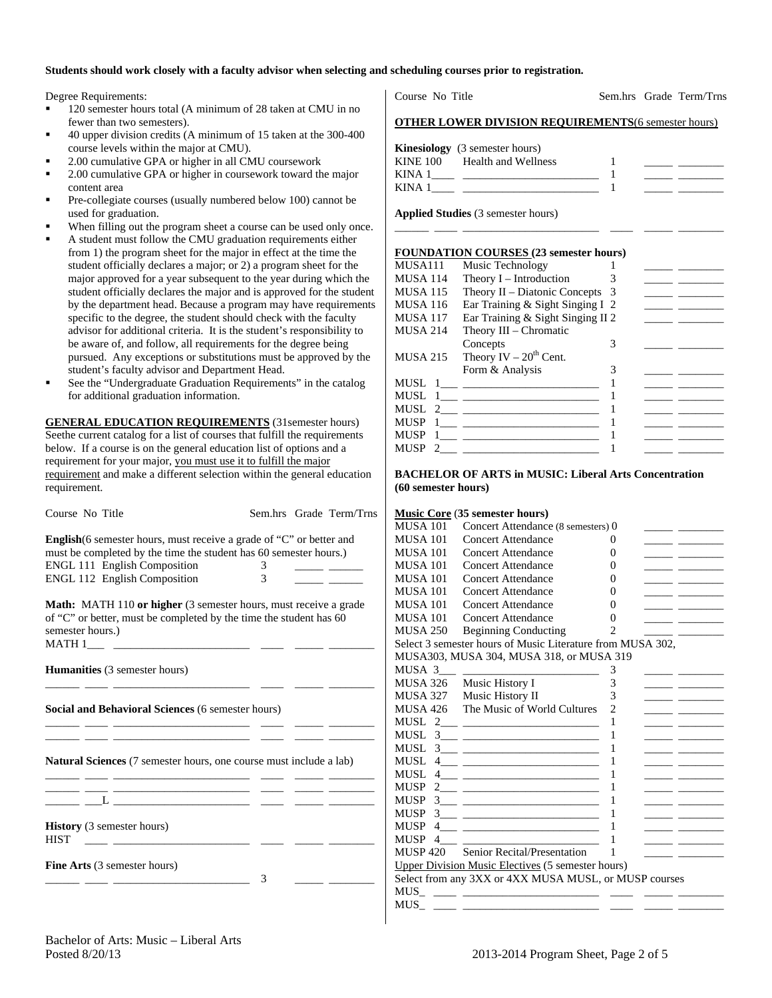#### **Students should work closely with a faculty advisor when selecting and scheduling courses prior to registration.**

Degree Requirements:

- 120 semester hours total (A minimum of 28 taken at CMU in no fewer than two semesters).
- 40 upper division credits (A minimum of 15 taken at the 300-400 course levels within the major at CMU).
- 2.00 cumulative GPA or higher in all CMU coursework
- 2.00 cumulative GPA or higher in coursework toward the major content area
- Pre-collegiate courses (usually numbered below 100) cannot be used for graduation.
- When filling out the program sheet a course can be used only once.
- A student must follow the CMU graduation requirements either from 1) the program sheet for the major in effect at the time the student officially declares a major; or 2) a program sheet for the major approved for a year subsequent to the year during which the student officially declares the major and is approved for the student by the department head. Because a program may have requirements specific to the degree, the student should check with the faculty advisor for additional criteria. It is the student's responsibility to be aware of, and follow, all requirements for the degree being pursued. Any exceptions or substitutions must be approved by the student's faculty advisor and Department Head.
- See the "Undergraduate Graduation Requirements" in the catalog for additional graduation information.

**GENERAL EDUCATION REQUIREMENTS** (31semester hours) Seethe current catalog for a list of courses that fulfill the requirements below. If a course is on the general education list of options and a requirement for your major, you must use it to fulfill the major requirement and make a different selection within the general education requirement.

| Course No Title                                                                                                                                                                                                         |        | Sem.hrs Grade Term/Trns                                             |
|-------------------------------------------------------------------------------------------------------------------------------------------------------------------------------------------------------------------------|--------|---------------------------------------------------------------------|
| <b>English</b> (6 semester hours, must receive a grade of "C" or better and<br>must be completed by the time the student has 60 semester hours.)<br><b>ENGL 111 English Composition</b><br>ENGL 112 English Composition | 3<br>3 | <u> 1999 - John Barn Barn, mars a</u><br>the company of the company |
| Math: MATH 110 or higher (3 semester hours, must receive a grade<br>of "C" or better, must be completed by the time the student has 60<br>semester hours.)                                                              |        |                                                                     |
| <b>Humanities</b> (3 semester hours)<br>the control of the control of the control of the control of the control of the control of                                                                                       |        |                                                                     |
| <b>Social and Behavioral Sciences (6 semester hours)</b><br><u> 1988 - Andrea Stadt Britain, marwolaeth a bhaile an t-Alban an t-Alban an t-Alban an t-Alban an t-Alban an t-</u>                                       |        |                                                                     |
| <b>Natural Sciences</b> (7 semester hours, one course must include a lab)                                                                                                                                               |        |                                                                     |
|                                                                                                                                                                                                                         |        |                                                                     |
| <b>History</b> (3 semester hours)<br><b>HIST</b>                                                                                                                                                                        |        |                                                                     |
| Fine Arts (3 semester hours)<br>the control of the control of the control of the                                                                                                                                        | 3      |                                                                     |

Course No Title Sem.hrs Grade Term/Trns

#### **OTHER LOWER DIVISION REQUIREMENTS**(6 semester hours)

|          | <b>Kinesiology</b> (3 semester hours) |  |
|----------|---------------------------------------|--|
| KINE 100 | Health and Wellness                   |  |
| KINA 1   |                                       |  |
| KINA 1   |                                       |  |

\_\_\_\_\_\_ \_\_\_\_ \_\_\_\_\_\_\_\_\_\_\_\_\_\_\_\_\_\_\_\_\_\_\_\_ \_\_\_\_ \_\_\_\_\_ \_\_\_\_\_\_\_\_

**Applied Studies** (3 semester hours)

#### **FOUNDATION COURSES (23 semester hours)**

| MUSA111               | Music Technology                  |     |  |
|-----------------------|-----------------------------------|-----|--|
| MUSA 114              | Theory $I$ – Introduction         |     |  |
| MUSA 115              | Theory II – Diatonic Concepts     | - 3 |  |
| MUSA 116              | Ear Training & Sight Singing I 2  |     |  |
| MUSA 117              | Ear Training & Sight Singing II 2 |     |  |
| MUSA 214              | Theory III – Chromatic            |     |  |
|                       | Concepts                          |     |  |
| MUSA 215              | Theory $IV - 20th$ Cent.          |     |  |
|                       | Form & Analysis                   |     |  |
|                       | MUSL 1                            |     |  |
| MUSL                  |                                   |     |  |
|                       |                                   |     |  |
| MUSP                  |                                   |     |  |
| MUSP                  |                                   |     |  |
| MUSP<br>$\mathcal{L}$ |                                   |     |  |
|                       |                                   |     |  |

#### **BACHELOR OF ARTS in MUSIC: Liberal Arts Concentration (60 semester hours)**

#### **Music Core** (**35 semester hours)**

| <b>MUSA 101</b>  | Concert Attendance (8 semesters) 0                                                                                                                                                                                                                                                            |                   |  |
|------------------|-----------------------------------------------------------------------------------------------------------------------------------------------------------------------------------------------------------------------------------------------------------------------------------------------|-------------------|--|
| <b>MUSA 101</b>  | <b>Concert Attendance</b>                                                                                                                                                                                                                                                                     | 0                 |  |
| <b>MUSA 101</b>  | <b>Concert Attendance</b>                                                                                                                                                                                                                                                                     | 0                 |  |
| <b>MUSA 101</b>  | <b>Concert Attendance</b>                                                                                                                                                                                                                                                                     | $\mathbf{\Omega}$ |  |
| <b>MUSA 101</b>  | <b>Concert Attendance</b>                                                                                                                                                                                                                                                                     | $\mathbf{\Omega}$ |  |
| <b>MUSA 101</b>  | Concert Attendance                                                                                                                                                                                                                                                                            | 0                 |  |
| <b>MUSA 101</b>  | <b>Concert Attendance</b>                                                                                                                                                                                                                                                                     | $\mathbf{\Omega}$ |  |
| MUSA 101         | <b>Concert Attendance</b>                                                                                                                                                                                                                                                                     | 0                 |  |
| <b>MUSA 250</b>  | <b>Beginning Conducting</b>                                                                                                                                                                                                                                                                   | 2                 |  |
|                  | Select 3 semester hours of Music Literature from MUSA 302.                                                                                                                                                                                                                                    |                   |  |
|                  | MUSA303, MUSA 304, MUSA 318, or MUSA 319                                                                                                                                                                                                                                                      |                   |  |
| MUSA 3           |                                                                                                                                                                                                                                                                                               | 3                 |  |
| MUSA 326         | Music History I                                                                                                                                                                                                                                                                               | 3                 |  |
| MUSA 327         | Music History II                                                                                                                                                                                                                                                                              | 3                 |  |
| MUSA 426         | The Music of World Cultures                                                                                                                                                                                                                                                                   | $\overline{2}$    |  |
| MUSL –           | $2 \underline{\hspace{1cm}}$                                                                                                                                                                                                                                                                  | 1                 |  |
| <b>MUSL</b>      | $\frac{3}{2}$ and $\frac{3}{2}$ and $\frac{3}{2}$ and $\frac{3}{2}$ and $\frac{3}{2}$ and $\frac{3}{2}$ and $\frac{3}{2}$ and $\frac{3}{2}$ and $\frac{3}{2}$ and $\frac{3}{2}$ and $\frac{3}{2}$ and $\frac{3}{2}$ and $\frac{3}{2}$ and $\frac{3}{2}$ and $\frac{3}{2}$ and $\frac{3}{2}$ a | 1                 |  |
| <b>MUSL</b>      |                                                                                                                                                                                                                                                                                               | 1                 |  |
| MUSL             |                                                                                                                                                                                                                                                                                               | 1                 |  |
| <b>MUSL</b><br>4 |                                                                                                                                                                                                                                                                                               | 1                 |  |
| <b>MUSP</b>      |                                                                                                                                                                                                                                                                                               | 1                 |  |
| <b>MUSP</b>      | $\frac{3}{2}$ and $\frac{3}{2}$ and $\frac{3}{2}$ and $\frac{3}{2}$ and $\frac{3}{2}$ and $\frac{3}{2}$ and $\frac{3}{2}$ and $\frac{3}{2}$ and $\frac{3}{2}$ and $\frac{3}{2}$ and $\frac{3}{2}$ and $\frac{3}{2}$ and $\frac{3}{2}$ and $\frac{3}{2}$ and $\frac{3}{2}$ and $\frac{3}{2}$ a | 1                 |  |
| <b>MUSP</b>      | $3 \qquad \qquad$                                                                                                                                                                                                                                                                             | 1                 |  |
| <b>MUSP</b><br>4 | the control of the control of the control of the control of the control of the control of                                                                                                                                                                                                     | 1                 |  |
| <b>MUSP</b><br>4 |                                                                                                                                                                                                                                                                                               | 1                 |  |
|                  | MUSP 420 Senior Recital/Presentation                                                                                                                                                                                                                                                          | 1                 |  |
|                  | <b>Upper Division Music Electives (5 semester hours)</b>                                                                                                                                                                                                                                      |                   |  |
|                  | Select from any 3XX or 4XX MUSA MUSL, or MUSP courses                                                                                                                                                                                                                                         |                   |  |
| <b>MUS</b>       |                                                                                                                                                                                                                                                                                               |                   |  |
| <b>MUS</b>       |                                                                                                                                                                                                                                                                                               |                   |  |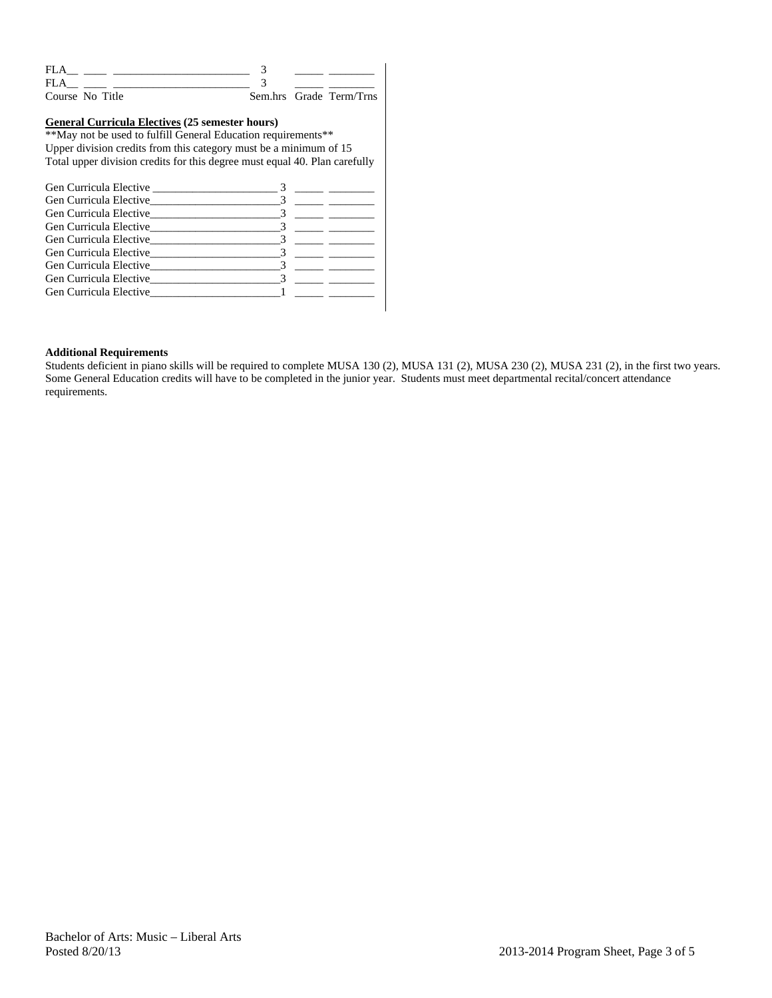| FI.A            |  |                         |
|-----------------|--|-------------------------|
| FLA             |  |                         |
| Course No Title |  | Sem.hrs Grade Term/Trns |

#### **General Curricula Electives (25 semester hours)**

\*\*May not be used to fulfill General Education requirements\*\* Upper division credits from this category must be a minimum of 15 Total upper division credits for this degree must equal 40. Plan carefully

#### **Additional Requirements**

Students deficient in piano skills will be required to complete MUSA 130 (2), MUSA 131 (2), MUSA 230 (2), MUSA 231 (2), in the first two years. Some General Education credits will have to be completed in the junior year. Students must meet departmental recital/concert attendance requirements.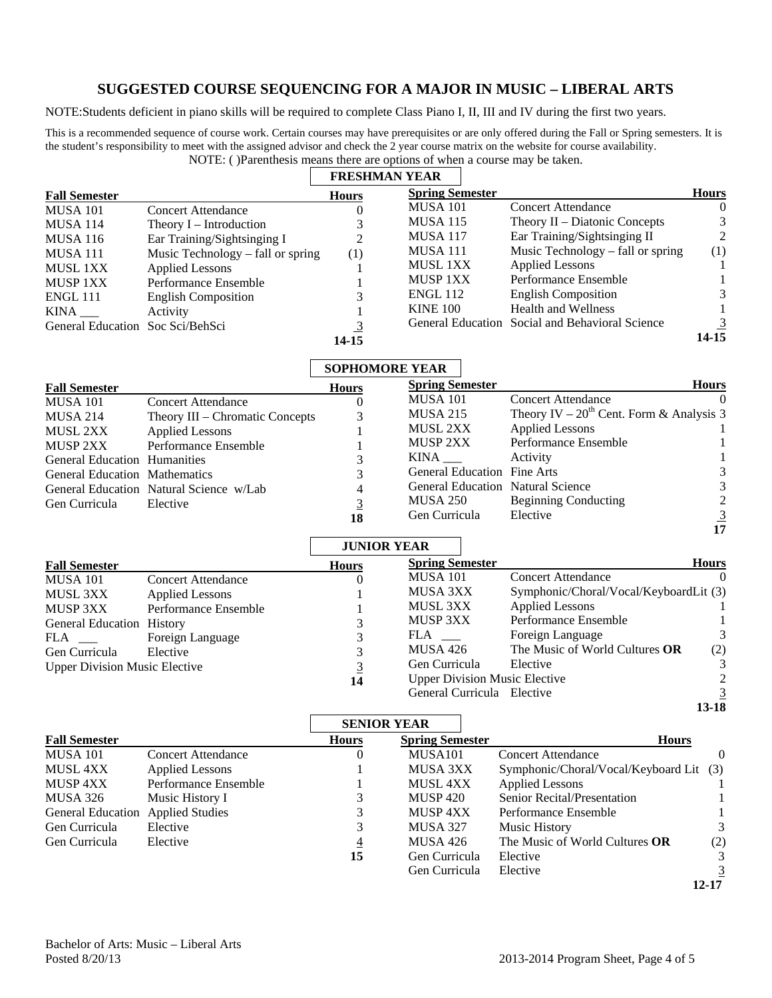# **SUGGESTED COURSE SEQUENCING FOR A MAJOR IN MUSIC – LIBERAL ARTS**

NOTE:Students deficient in piano skills will be required to complete Class Piano I, II, III and IV during the first two years.

This is a recommended sequence of course work. Certain courses may have prerequisites or are only offered during the Fall or Spring semesters. It is the student's responsibility to meet with the assigned advisor and check the 2 year course matrix on the website for course availability. NOTE: ( )Parenthesis means there are options of when a course may be taken.

|                          |                                   | <b>FRESHMAN YEAR</b> |                        |                                                 |                |
|--------------------------|-----------------------------------|----------------------|------------------------|-------------------------------------------------|----------------|
| <b>Fall Semester</b>     |                                   | <b>Hours</b>         | <b>Spring Semester</b> |                                                 | <b>Hours</b>   |
| <b>MUSA 101</b>          | <b>Concert Attendance</b>         |                      | <b>MUSA 101</b>        | <b>Concert Attendance</b>                       | $\Omega$       |
| <b>MUSA 114</b>          | Theory I – Introduction           |                      | <b>MUSA 115</b>        | Theory $II$ – Diatonic Concepts                 |                |
| <b>MUSA 116</b>          | Ear Training/Sightsinging I       | 2                    | <b>MUSA 117</b>        | Ear Training/Sightsinging II                    | $\mathcal{L}$  |
| MUSA 111                 | Music Technology – fall or spring | (1)                  | <b>MUSA 111</b>        | Music Technology – fall or spring               | (1)            |
| <b>MUSL 1XX</b>          | <b>Applied Lessons</b>            |                      | MUSL 1XX               | <b>Applied Lessons</b>                          |                |
| <b>MUSP 1XX</b>          | Performance Ensemble              |                      | <b>MUSP 1XX</b>        | Performance Ensemble                            |                |
| <b>ENGL 111</b>          | <b>English Composition</b>        |                      | <b>ENGL 112</b>        | <b>English Composition</b>                      |                |
| KINA                     | Activity                          |                      | <b>KINE 100</b>        | <b>Health and Wellness</b>                      |                |
| <b>General Education</b> | Soc Sci/BehSci                    |                      |                        | General Education Social and Behavioral Science | $\overline{3}$ |
|                          |                                   | 14-15                |                        |                                                 | 14-15          |

|                                      |                                         | <b>SOPHOMORE YEAR</b> |                                          |                                               |          |
|--------------------------------------|-----------------------------------------|-----------------------|------------------------------------------|-----------------------------------------------|----------|
| <b>Fall Semester</b>                 |                                         | <b>Hours</b>          | <b>Spring Semester</b>                   | <b>Hours</b>                                  |          |
| <b>MUSA 101</b>                      | <b>Concert Attendance</b>               |                       | <b>MUSA 101</b>                          | <b>Concert Attendance</b>                     | $\Omega$ |
| <b>MUSA 214</b>                      | Theory III – Chromatic Concepts         | 3                     | <b>MUSA 215</b>                          | Theory IV – $20^{th}$ Cent. Form & Analysis 3 |          |
| MUSL 2XX                             | <b>Applied Lessons</b>                  |                       | MUSL 2XX                                 | <b>Applied Lessons</b>                        |          |
| MUSP 2XX                             | Performance Ensemble                    |                       | MUSP 2XX                                 | Performance Ensemble                          |          |
| <b>General Education Humanities</b>  |                                         | 3                     | KINA                                     | Activity                                      |          |
| <b>General Education Mathematics</b> |                                         | 3                     | <b>General Education Fine Arts</b>       |                                               | 3.       |
|                                      | General Education Natural Science w/Lab | 4                     | <b>General Education Natural Science</b> |                                               |          |
| Gen Curricula                        | Elective                                | 3                     | MUSA 250                                 | <b>Beginning Conducting</b>                   |          |
|                                      |                                         | 18                    | Gen Curricula                            | Elective                                      |          |
|                                      |                                         |                       |                                          |                                               |          |

|                                      |                           |                    |                                      |                                        | 17           |
|--------------------------------------|---------------------------|--------------------|--------------------------------------|----------------------------------------|--------------|
|                                      |                           | <b>JUNIOR YEAR</b> |                                      |                                        |              |
| <b>Fall Semester</b>                 |                           | <b>Hours</b>       | <b>Spring Semester</b>               |                                        | <b>Hours</b> |
| <b>MUSA 101</b>                      | <b>Concert Attendance</b> | $\Omega$           | <b>MUSA 101</b>                      | <b>Concert Attendance</b>              | $\Omega$     |
| <b>MUSL 3XX</b>                      | Applied Lessons           |                    | MUSA 3XX                             | Symphonic/Choral/Vocal/KeyboardLit (3) |              |
| MUSP 3XX                             | Performance Ensemble      |                    | MUSL 3XX                             | <b>Applied Lessons</b>                 |              |
| <b>General Education History</b>     |                           | 3                  | <b>MUSP 3XX</b>                      | Performance Ensemble                   |              |
| FLA                                  | Foreign Language          | 3                  | FLA                                  | Foreign Language                       |              |
| Gen Curricula                        | Elective                  | 3                  | <b>MUSA 426</b>                      | The Music of World Cultures OR         | (2)          |
| <b>Upper Division Music Elective</b> |                           |                    | Gen Curricula                        | Elective                               |              |
|                                      |                           | 14                 | <b>Upper Division Music Elective</b> |                                        |              |
|                                      |                           |                    | General Curricula Elective           |                                        |              |
|                                      |                           |                    |                                      |                                        | 13-18        |

|                          |                           |                    |                        |                                         | $13 - 18$ |
|--------------------------|---------------------------|--------------------|------------------------|-----------------------------------------|-----------|
|                          |                           | <b>SENIOR YEAR</b> |                        |                                         |           |
| <b>Fall Semester</b>     |                           | <b>Hours</b>       | <b>Spring Semester</b> | <b>Hours</b>                            |           |
| <b>MUSA 101</b>          | <b>Concert Attendance</b> | 0                  | MUSA <sub>101</sub>    | <b>Concert Attendance</b>               | $\theta$  |
| MUSL 4XX                 | Applied Lessons           |                    | MUSA 3XX               | Symphonic/Choral/Vocal/Keyboard Lit (3) |           |
| MUSP 4XX                 | Performance Ensemble      |                    | <b>MUSL 4XX</b>        | <b>Applied Lessons</b>                  |           |
| <b>MUSA 326</b>          | Music History I           | 3                  | <b>MUSP 420</b>        | Senior Recital/Presentation             |           |
| <b>General Education</b> | <b>Applied Studies</b>    |                    | MUSP 4XX               | Performance Ensemble                    |           |
| Gen Curricula            | Elective                  |                    | <b>MUSA 327</b>        | Music History                           |           |
| Gen Curricula            | Elective                  | $\overline{4}$     | <b>MUSA 426</b>        | The Music of World Cultures OR          | (2)       |
|                          |                           | 15                 | Gen Curricula          | Elective                                |           |
|                          |                           |                    | Gen Curricula          | Elective                                |           |
|                          |                           |                    |                        |                                         | 12-17     |